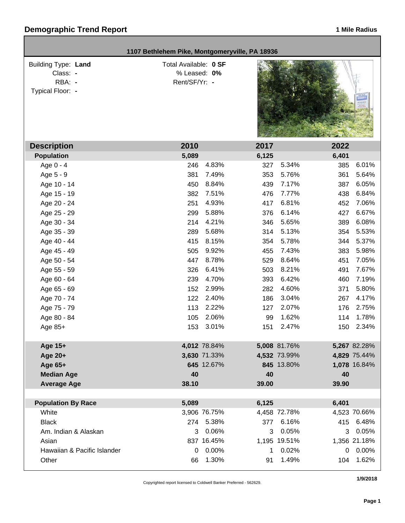## **Demographic Trend Report 1 Mile Radius 1 Mile Radius**

| 1107 Bethlehem Pike, Montgomeryville, PA 18936                       |                                                        |              |       |              |              |
|----------------------------------------------------------------------|--------------------------------------------------------|--------------|-------|--------------|--------------|
| <b>Building Type: Land</b><br>Class: -<br>RBA: -<br>Typical Floor: - | Total Available: 0 SF<br>% Leased: 0%<br>Rent/SF/Yr: - |              |       |              |              |
| <b>Description</b>                                                   | 2010                                                   |              | 2017  |              | 2022         |
| <b>Population</b>                                                    | 5,089                                                  |              | 6,125 |              | 6,401        |
| Age 0 - 4                                                            | 246                                                    | 4.83%        | 327   | 5.34%        | 6.01%<br>385 |
| Age 5 - 9                                                            | 381                                                    | 7.49%        | 353   | 5.76%        | 5.64%<br>361 |
| Age 10 - 14                                                          | 450                                                    | 8.84%        | 439   | 7.17%        | 6.05%<br>387 |
| Age 15 - 19                                                          | 382                                                    | 7.51%        | 476   | 7.77%        | 6.84%<br>438 |
| Age 20 - 24                                                          | 251                                                    | 4.93%        | 417   | 6.81%        | 7.06%<br>452 |
| Age 25 - 29                                                          | 299                                                    | 5.88%        | 376   | 6.14%        | 6.67%<br>427 |
| Age 30 - 34                                                          | 214                                                    | 4.21%        | 346   | 5.65%        | 6.08%<br>389 |
| Age 35 - 39                                                          | 289                                                    | 5.68%        | 314   | 5.13%        | 5.53%<br>354 |
| Age 40 - 44                                                          | 415                                                    | 8.15%        | 354   | 5.78%        | 5.37%<br>344 |
| Age 45 - 49                                                          | 505                                                    | 9.92%        | 455   | 7.43%        | 5.98%<br>383 |
| Age 50 - 54                                                          | 447                                                    | 8.78%        | 529   | 8.64%        | 7.05%<br>451 |
| Age 55 - 59                                                          | 326                                                    | 6.41%        | 503   | 8.21%        | 7.67%<br>491 |
| Age 60 - 64                                                          | 239                                                    | 4.70%        | 393   | 6.42%        | 7.19%<br>460 |
| Age 65 - 69                                                          | 152                                                    | 2.99%        | 282   | 4.60%        | 5.80%<br>371 |
| Age 70 - 74                                                          | 122                                                    | 2.40%        | 186   | 3.04%        | 4.17%<br>267 |
| Age 75 - 79                                                          | 113                                                    | 2.22%        | 127   | 2.07%        | 2.75%<br>176 |
| Age 80 - 84                                                          | 105                                                    | 2.06%        | 99    | 1.62%        | 1.78%<br>114 |
| Age 85+                                                              | 153                                                    | 3.01%        | 151   | 2.47%        | 2.34%<br>150 |
| Age 15+                                                              |                                                        | 4,012 78.84% |       | 5,008 81.76% | 5,267 82.28% |
| Age 20+                                                              |                                                        | 3,630 71.33% |       | 4,532 73.99% | 4,829 75.44% |
| Age 65+                                                              |                                                        | 645 12.67%   |       | 845 13.80%   | 1,078 16.84% |
| <b>Median Age</b>                                                    | 40                                                     |              | 40    |              | 40           |
| <b>Average Age</b>                                                   | 38.10                                                  |              | 39.00 |              | 39.90        |
|                                                                      |                                                        |              |       |              |              |
| <b>Population By Race</b>                                            | 5,089                                                  |              | 6,125 |              | 6,401        |
| White                                                                |                                                        | 3,906 76.75% |       | 4,458 72.78% | 4,523 70.66% |
| <b>Black</b>                                                         | 274                                                    | 5.38%        | 377   | 6.16%        | 6.48%<br>415 |
| Am. Indian & Alaskan                                                 | 3                                                      | 0.06%        | 3     | 0.05%        | 0.05%<br>3   |
| Asian                                                                |                                                        | 837 16.45%   |       | 1,195 19.51% | 1,356 21.18% |
| Hawaiian & Pacific Islander                                          | 0                                                      | 0.00%        | 1     | 0.02%        | 0.00%<br>0   |
| Other                                                                | 66                                                     | 1.30%        | 91    | 1.49%        | 1.62%<br>104 |

Copyrighted report licensed to Coldwell Banker Preferred - 562629.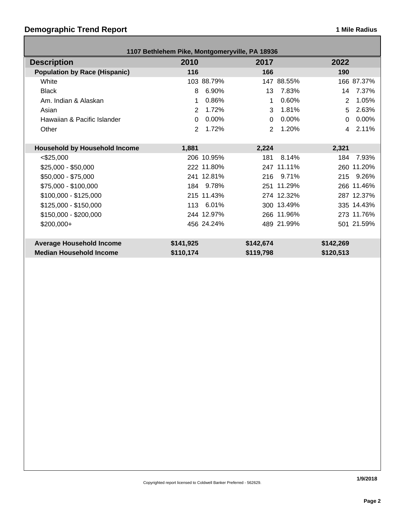## **Demographic Trend Report 1 Mile Radius 1 Mile Radius**

| 1107 Bethlehem Pike, Montgomeryville, PA 18936 |                |            |           |            |           |            |
|------------------------------------------------|----------------|------------|-----------|------------|-----------|------------|
| <b>Description</b>                             | 2010           |            | 2017      |            | 2022      |            |
| <b>Population by Race (Hispanic)</b>           | 116            |            | 166       |            | 190       |            |
| White                                          |                | 103 88.79% |           | 147 88.55% |           | 166 87.37% |
| <b>Black</b>                                   | 8              | 6.90%      | 13        | 7.83%      | 14        | 7.37%      |
| Am. Indian & Alaskan                           | 1              | 0.86%      | 1         | 0.60%      | 2         | 1.05%      |
| Asian                                          | $\overline{2}$ | 1.72%      | 3         | 1.81%      | 5         | 2.63%      |
| Hawaiian & Pacific Islander                    | 0              | 0.00%      | $\Omega$  | 0.00%      | $\Omega$  | 0.00%      |
| Other                                          | $\overline{2}$ | 1.72%      | 2         | 1.20%      | 4         | 2.11%      |
|                                                |                |            |           |            |           |            |
| <b>Household by Household Income</b>           | 1,881          |            | 2,224     |            | 2,321     |            |
| $<$ \$25,000                                   |                | 206 10.95% | 181       | 8.14%      | 184       | 7.93%      |
| $$25,000 - $50,000$                            |                | 222 11.80% |           | 247 11.11% |           | 260 11.20% |
| \$50,000 - \$75,000                            |                | 241 12.81% | 216       | 9.71%      | 215       | 9.26%      |
| \$75,000 - \$100,000                           |                | 184 9.78%  |           | 251 11.29% |           | 266 11.46% |
| $$100,000 - $125,000$                          |                | 215 11.43% |           | 274 12.32% |           | 287 12.37% |
| $$125,000 - $150,000$                          | 113            | 6.01%      |           | 300 13.49% |           | 335 14.43% |
| $$150,000 - $200,000$                          |                | 244 12.97% |           | 266 11.96% |           | 273 11.76% |
| $$200,000+$                                    |                | 456 24.24% |           | 489 21.99% |           | 501 21.59% |
|                                                |                |            |           |            |           |            |
| <b>Average Household Income</b>                | \$141,925      |            | \$142,674 |            | \$142,269 |            |
| <b>Median Household Income</b>                 | \$110,174      |            | \$119,798 |            | \$120,513 |            |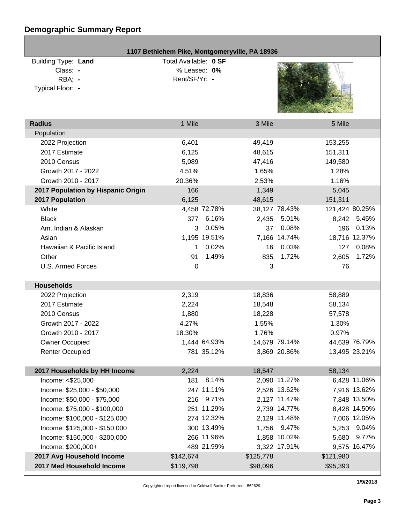# **Demographic Summary Report**

| 1107 Bethlehem Pike, Montgomeryville, PA 18936                |                                                        |              |           |               |                |
|---------------------------------------------------------------|--------------------------------------------------------|--------------|-----------|---------------|----------------|
| Building Type: Land<br>Class: -<br>RBA: -<br>Typical Floor: - | Total Available: 0 SF<br>% Leased: 0%<br>Rent/SF/Yr: - |              |           |               |                |
| <b>Radius</b>                                                 | 1 Mile                                                 |              | 3 Mile    |               | 5 Mile         |
| Population                                                    |                                                        |              |           |               |                |
| 2022 Projection                                               | 6,401                                                  |              | 49,419    |               | 153,255        |
| 2017 Estimate                                                 | 6,125                                                  |              | 48,615    |               | 151,311        |
| 2010 Census                                                   | 5,089                                                  |              | 47,416    |               | 149,580        |
| Growth 2017 - 2022                                            | 4.51%                                                  |              | 1.65%     |               | 1.28%          |
| Growth 2010 - 2017                                            | 20.36%                                                 |              | 2.53%     |               | 1.16%          |
| 2017 Population by Hispanic Origin                            | 166                                                    |              | 1,349     |               | 5,045          |
| 2017 Population                                               | 6,125                                                  |              | 48,615    |               | 151,311        |
| White                                                         |                                                        | 4,458 72.78% |           | 38,127 78.43% | 121,424 80.25% |
| <b>Black</b>                                                  | 377                                                    | 6.16%        |           | 2,435 5.01%   | 8,242 5.45%    |
| Am. Indian & Alaskan                                          | 3                                                      | 0.05%        | 37        | 0.08%         | 0.13%<br>196   |
| Asian                                                         |                                                        | 1,195 19.51% |           | 7,166 14.74%  | 18,716 12.37%  |
| Hawaiian & Pacific Island                                     | $\mathbf 1$                                            | 0.02%        | 16        | 0.03%         | 0.08%<br>127   |
| Other                                                         | 91                                                     | 1.49%        | 835       | 1.72%         | 1.72%<br>2,605 |
| U.S. Armed Forces                                             | 0                                                      |              | 3         |               | 76             |
| <b>Households</b>                                             |                                                        |              |           |               |                |
| 2022 Projection                                               | 2,319                                                  |              | 18,836    |               | 58,889         |
| 2017 Estimate                                                 | 2,224                                                  |              | 18,548    |               | 58,134         |
| 2010 Census                                                   | 1,880                                                  |              | 18,228    |               | 57,578         |
| Growth 2017 - 2022                                            | 4.27%                                                  |              | 1.55%     |               | 1.30%          |
| Growth 2010 - 2017                                            | 18.30%                                                 |              | 1.76%     |               | 0.97%          |
| <b>Owner Occupied</b>                                         |                                                        | 1,444 64.93% |           | 14,679 79.14% | 44,639 76.79%  |
| <b>Renter Occupied</b>                                        |                                                        | 781 35.12%   |           | 3,869 20.86%  | 13,495 23.21%  |
|                                                               |                                                        |              |           |               |                |
| 2017 Households by HH Income                                  | 2,224                                                  |              | 18,547    |               | 58,134         |
| Income: <\$25,000                                             | 181                                                    | 8.14%        |           | 2,090 11.27%  | 6,428 11.06%   |
| Income: \$25,000 - \$50,000                                   |                                                        | 247 11.11%   |           | 2,526 13.62%  | 7,916 13.62%   |
| Income: \$50,000 - \$75,000                                   |                                                        | 216 9.71%    |           | 2,127 11.47%  | 7,848 13.50%   |
| Income: \$75,000 - \$100,000                                  |                                                        | 251 11.29%   |           | 2,739 14.77%  | 8,428 14.50%   |
| Income: \$100,000 - \$125,000                                 |                                                        | 274 12.32%   |           | 2,129 11.48%  | 7,006 12.05%   |
| Income: \$125,000 - \$150,000                                 |                                                        | 300 13.49%   |           | 1,756 9.47%   | 5,253 9.04%    |
| Income: \$150,000 - \$200,000                                 |                                                        | 266 11.96%   |           | 1,858 10.02%  | 5,680<br>9.77% |
| Income: \$200,000+                                            |                                                        | 489 21.99%   |           | 3,322 17.91%  | 9,575 16.47%   |
| 2017 Avg Household Income                                     | \$142,674                                              |              | \$125,778 |               | \$121,980      |
| 2017 Med Household Income                                     | \$119,798                                              |              | \$98,096  |               | \$95,393       |
|                                                               |                                                        |              |           |               |                |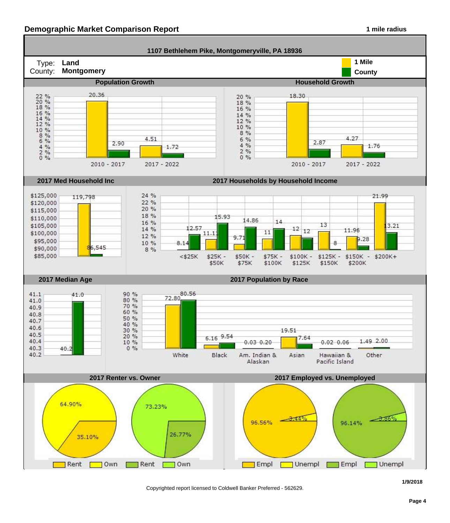#### **Demographic Market Comparison Report 1 mile radius 1 mile radius**



Copyrighted report licensed to Coldwell Banker Preferred - 562629.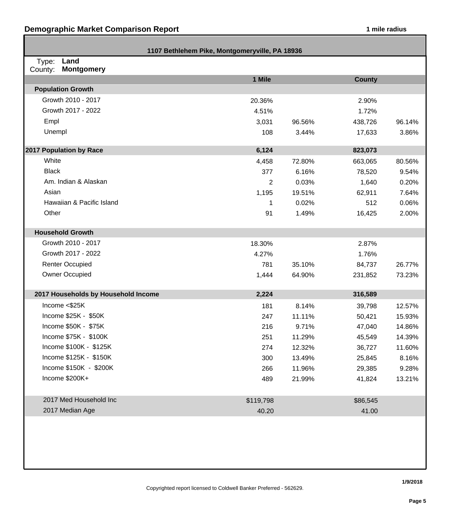Г

| 1107 Bethlehem Pike, Montgomeryville, PA 18936 |           |        |               |        |  |
|------------------------------------------------|-----------|--------|---------------|--------|--|
| Land<br>Type:<br>County:<br><b>Montgomery</b>  |           |        |               |        |  |
|                                                | 1 Mile    |        | <b>County</b> |        |  |
| <b>Population Growth</b>                       |           |        |               |        |  |
| Growth 2010 - 2017                             | 20.36%    |        | 2.90%         |        |  |
| Growth 2017 - 2022                             | 4.51%     |        | 1.72%         |        |  |
| Empl                                           | 3,031     | 96.56% | 438,726       | 96.14% |  |
| Unempl                                         | 108       | 3.44%  | 17,633        | 3.86%  |  |
| 2017 Population by Race                        | 6,124     |        | 823,073       |        |  |
| White                                          | 4,458     | 72.80% | 663,065       | 80.56% |  |
| <b>Black</b>                                   | 377       | 6.16%  | 78,520        | 9.54%  |  |
| Am. Indian & Alaskan                           | 2         | 0.03%  | 1,640         | 0.20%  |  |
| Asian                                          | 1,195     | 19.51% | 62,911        | 7.64%  |  |
| Hawaiian & Pacific Island                      | 1         | 0.02%  | 512           | 0.06%  |  |
| Other                                          | 91        | 1.49%  | 16,425        | 2.00%  |  |
| <b>Household Growth</b>                        |           |        |               |        |  |
| Growth 2010 - 2017                             | 18.30%    |        | 2.87%         |        |  |
| Growth 2017 - 2022                             | 4.27%     |        | 1.76%         |        |  |
| <b>Renter Occupied</b>                         | 781       | 35.10% | 84,737        | 26.77% |  |
| Owner Occupied                                 | 1,444     | 64.90% | 231,852       | 73.23% |  |
| 2017 Households by Household Income            | 2,224     |        | 316,589       |        |  |
| Income $<$ \$25K                               | 181       | 8.14%  | 39,798        | 12.57% |  |
| Income \$25K - \$50K                           | 247       | 11.11% | 50,421        | 15.93% |  |
| Income \$50K - \$75K                           | 216       | 9.71%  | 47,040        | 14.86% |  |
| Income \$75K - \$100K                          | 251       | 11.29% | 45,549        | 14.39% |  |
| Income \$100K - \$125K                         | 274       | 12.32% | 36,727        | 11.60% |  |
| Income \$125K - \$150K                         | 300       | 13.49% | 25,845        | 8.16%  |  |
| Income \$150K - \$200K                         | 266       | 11.96% | 29,385        | 9.28%  |  |
| Income \$200K+                                 | 489       | 21.99% | 41,824        | 13.21% |  |
| 2017 Med Household Inc                         | \$119,798 |        | \$86,545      |        |  |
| 2017 Median Age                                | 40.20     |        | 41.00         |        |  |
|                                                |           |        |               |        |  |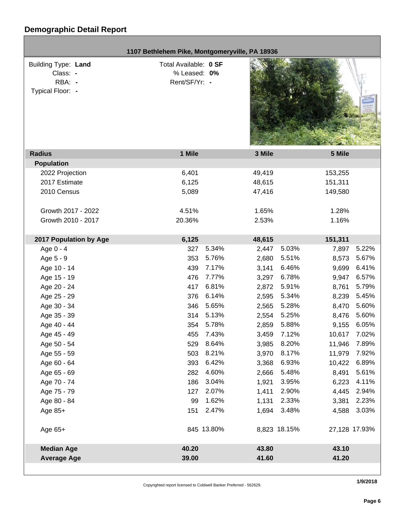|                                                                      | 1107 Bethlehem Pike, Montgomeryville, PA 18936         |            |        |              |         |               |
|----------------------------------------------------------------------|--------------------------------------------------------|------------|--------|--------------|---------|---------------|
| <b>Building Type: Land</b><br>Class: -<br>RBA: -<br>Typical Floor: - | Total Available: 0 SF<br>% Leased: 0%<br>Rent/SF/Yr: - |            |        |              |         |               |
| <b>Radius</b>                                                        | 1 Mile                                                 |            | 3 Mile |              | 5 Mile  |               |
| <b>Population</b>                                                    |                                                        |            |        |              |         |               |
| 2022 Projection                                                      | 6,401                                                  |            | 49,419 |              | 153,255 |               |
| 2017 Estimate                                                        | 6,125                                                  |            | 48,615 |              | 151,311 |               |
| 2010 Census                                                          | 5,089                                                  |            | 47,416 |              | 149,580 |               |
| Growth 2017 - 2022                                                   | 4.51%                                                  |            | 1.65%  |              | 1.28%   |               |
| Growth 2010 - 2017                                                   | 20.36%                                                 |            | 2.53%  |              | 1.16%   |               |
| 2017 Population by Age                                               | 6,125                                                  |            | 48,615 |              | 151,311 |               |
| Age 0 - 4                                                            | 327                                                    | 5.34%      | 2,447  | 5.03%        | 7,897   | 5.22%         |
| Age 5 - 9                                                            | 353                                                    | 5.76%      | 2,680  | 5.51%        | 8,573   | 5.67%         |
| Age 10 - 14                                                          | 439                                                    | 7.17%      | 3,141  | 6.46%        | 9,699   | 6.41%         |
| Age 15 - 19                                                          | 476                                                    | 7.77%      | 3,297  | 6.78%        | 9,947   | 6.57%         |
| Age 20 - 24                                                          | 417                                                    | 6.81%      | 2,872  | 5.91%        | 8,761   | 5.79%         |
| Age 25 - 29                                                          | 376                                                    | 6.14%      | 2,595  | 5.34%        | 8,239   | 5.45%         |
| Age 30 - 34                                                          | 346                                                    | 5.65%      | 2,565  | 5.28%        | 8,470   | 5.60%         |
| Age 35 - 39                                                          | 314                                                    | 5.13%      | 2,554  | 5.25%        | 8,476   | 5.60%         |
| Age 40 - 44                                                          | 354                                                    | 5.78%      | 2,859  | 5.88%        | 9,155   | 6.05%         |
| Age 45 - 49                                                          | 455                                                    | 7.43%      | 3,459  | 7.12%        | 10,617  | 7.02%         |
| Age 50 - 54                                                          | 529                                                    | 8.64%      | 3,985  | 8.20%        | 11,946  | 7.89%         |
| Age 55 - 59                                                          | 503                                                    | 8.21%      | 3,970  | 8.17%        | 11,979  | 7.92%         |
| Age 60 - 64                                                          | 393                                                    | 6.42%      | 3,368  | 6.93%        | 10,422  | 6.89%         |
| Age 65 - 69                                                          | 282                                                    | 4.60%      | 2,666  | 5.48%        | 8,491   | 5.61%         |
| Age 70 - 74                                                          | 186                                                    | 3.04%      | 1,921  | 3.95%        | 6,223   | 4.11%         |
| Age 75 - 79                                                          | 127                                                    | 2.07%      | 1,411  | 2.90%        | 4,445   | 2.94%         |
| Age 80 - 84                                                          | 99                                                     | 1.62%      | 1,131  | 2.33%        | 3,381   | 2.23%         |
| Age 85+                                                              | 151                                                    | 2.47%      | 1,694  | 3.48%        | 4,588   | 3.03%         |
| Age 65+                                                              |                                                        | 845 13.80% |        | 8,823 18.15% |         | 27,128 17.93% |
| <b>Median Age</b>                                                    | 40.20                                                  |            | 43.80  |              | 43.10   |               |
| <b>Average Age</b>                                                   | 39.00                                                  |            | 41.60  |              | 41.20   |               |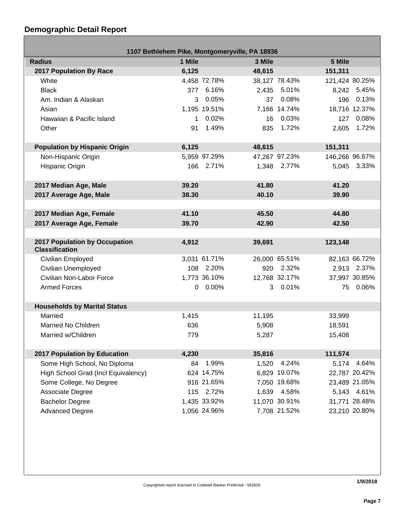г

| 1107 Bethlehem Pike, Montgomeryville, PA 18936         |        |              |        |               |                |               |
|--------------------------------------------------------|--------|--------------|--------|---------------|----------------|---------------|
| <b>Radius</b>                                          | 1 Mile |              | 3 Mile |               | 5 Mile         |               |
| <b>2017 Population By Race</b>                         | 6,125  |              | 48,615 |               | 151,311        |               |
| White                                                  |        | 4,458 72.78% |        | 38,127 78.43% | 121,424 80.25% |               |
| <b>Black</b>                                           |        | 377 6.16%    |        | 2,435 5.01%   |                | 8,242 5.45%   |
| Am. Indian & Alaskan                                   | 3      | 0.05%        | 37     | 0.08%         |                | 196 0.13%     |
| Asian                                                  |        | 1,195 19.51% |        | 7,166 14.74%  |                | 18,716 12.37% |
| Hawaiian & Pacific Island                              | 1      | 0.02%        |        | 16 0.03%      |                | 127 0.08%     |
| Other                                                  | 91     | 1.49%        |        | 835 1.72%     | 2,605          | 1.72%         |
|                                                        |        |              |        |               |                |               |
| <b>Population by Hispanic Origin</b>                   | 6,125  |              | 48,615 |               | 151,311        |               |
| Non-Hispanic Origin                                    |        | 5,959 97.29% |        | 47,267 97.23% | 146,266 96.67% |               |
| Hispanic Origin                                        |        | 166 2.71%    |        | 1,348 2.77%   |                | 5,045 3.33%   |
|                                                        |        |              |        |               |                |               |
| 2017 Median Age, Male                                  | 39.20  |              | 41.80  |               | 41.20          |               |
| 2017 Average Age, Male                                 | 38.30  |              | 40.10  |               | 39.90          |               |
|                                                        |        |              |        |               |                |               |
| 2017 Median Age, Female                                | 41.10  |              | 45.50  |               | 44.80          |               |
| 2017 Average Age, Female                               | 39.70  |              | 42.90  |               | 42.50          |               |
|                                                        |        |              |        |               |                |               |
| 2017 Population by Occupation<br><b>Classification</b> | 4,912  |              | 39,691 |               | 123,148        |               |
| Civilian Employed                                      |        | 3,031 61.71% |        | 26,000 65.51% |                | 82,163 66.72% |
| Civilian Unemployed                                    |        | 108 2.20%    |        | 920 2.32%     |                | 2,913 2.37%   |
| Civilian Non-Labor Force                               |        | 1,773 36.10% |        | 12,768 32.17% |                | 37,997 30.85% |
| <b>Armed Forces</b>                                    |        | $0.00\%$     |        | 3 0.01%       | 75             | 0.06%         |
|                                                        |        |              |        |               |                |               |
| <b>Households by Marital Status</b>                    |        |              |        |               |                |               |
| Married                                                | 1,415  |              | 11,195 |               | 33,999         |               |
| Married No Children                                    | 636    |              | 5,908  |               | 18,591         |               |
| Married w/Children                                     | 779    |              | 5,287  |               | 15,408         |               |
| 2017 Population by Education                           | 4,230  |              | 35,816 |               | 111,574        |               |
| Some High School, No Diploma                           | 84     | 1.99%        | 1,520  | 4.24%         | 5,174          | 4.64%         |
| High School Grad (Incl Equivalency)                    |        | 624 14.75%   |        | 6,829 19.07%  |                | 22,787 20.42% |
| Some College, No Degree                                |        | 916 21.65%   |        | 7,050 19.68%  |                | 23,489 21.05% |
| Associate Degree                                       |        | 115 2.72%    | 1,639  | 4.58%         |                | 5,143 4.61%   |
| <b>Bachelor Degree</b>                                 |        | 1,435 33.92% |        | 11,070 30.91% |                | 31,771 28.48% |
| <b>Advanced Degree</b>                                 |        | 1,056 24.96% |        | 7,708 21.52%  |                | 23,210 20.80% |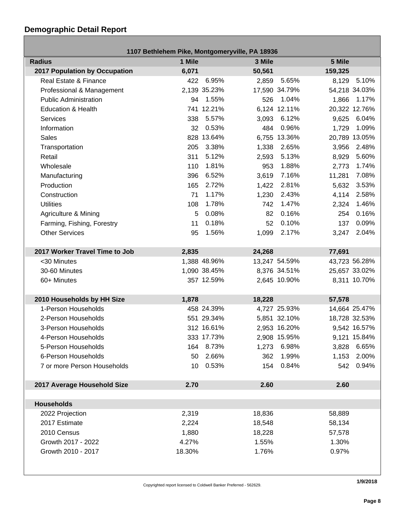| 1107 Bethlehem Pike, Montgomeryville, PA 18936 |        |              |        |               |         |               |
|------------------------------------------------|--------|--------------|--------|---------------|---------|---------------|
| <b>Radius</b>                                  | 1 Mile |              | 3 Mile |               | 5 Mile  |               |
| 2017 Population by Occupation                  | 6,071  |              | 50,561 |               | 159,325 |               |
| Real Estate & Finance                          | 422    | 6.95%        | 2,859  | 5.65%         | 8,129   | 5.10%         |
| Professional & Management                      |        | 2,139 35.23% |        | 17,590 34.79% |         | 54,218 34.03% |
| <b>Public Administration</b>                   | 94     | 1.55%        | 526    | 1.04%         | 1,866   | 1.17%         |
| <b>Education &amp; Health</b>                  |        | 741 12.21%   |        | 6,124 12.11%  |         | 20,322 12.76% |
| <b>Services</b>                                | 338    | 5.57%        | 3,093  | 6.12%         | 9,625   | 6.04%         |
| Information                                    | 32     | 0.53%        | 484    | 0.96%         | 1,729   | 1.09%         |
| <b>Sales</b>                                   |        | 828 13.64%   |        | 6,755 13.36%  |         | 20,789 13.05% |
| Transportation                                 | 205    | 3.38%        | 1,338  | 2.65%         | 3,956   | 2.48%         |
| Retail                                         | 311    | 5.12%        | 2,593  | 5.13%         | 8,929   | 5.60%         |
| Wholesale                                      | 110    | 1.81%        | 953    | 1.88%         | 2,773   | 1.74%         |
| Manufacturing                                  | 396    | 6.52%        | 3,619  | 7.16%         | 11,281  | 7.08%         |
| Production                                     | 165    | 2.72%        | 1,422  | 2.81%         | 5,632   | 3.53%         |
| Construction                                   | 71     | 1.17%        | 1,230  | 2.43%         | 4,114   | 2.58%         |
| <b>Utilities</b>                               | 108    | 1.78%        | 742    | 1.47%         | 2,324   | 1.46%         |
| Agriculture & Mining                           | 5      | 0.08%        | 82     | 0.16%         | 254     | 0.16%         |
| Farming, Fishing, Forestry                     | 11     | 0.18%        | 52     | 0.10%         | 137     | 0.09%         |
| <b>Other Services</b>                          | 95     | 1.56%        | 1,099  | 2.17%         | 3,247   | 2.04%         |
|                                                |        |              |        |               |         |               |
| 2017 Worker Travel Time to Job                 | 2,835  |              | 24,268 |               | 77,691  |               |
| <30 Minutes                                    |        | 1,388 48.96% |        | 13,247 54.59% |         | 43,723 56.28% |
| 30-60 Minutes                                  |        | 1,090 38.45% |        | 8,376 34.51%  |         | 25,657 33.02% |
| 60+ Minutes                                    |        | 357 12.59%   |        | 2,645 10.90%  |         | 8,311 10.70%  |
|                                                |        |              |        |               |         |               |
| 2010 Households by HH Size                     | 1,878  |              | 18,228 |               | 57,578  |               |
| 1-Person Households                            |        | 458 24.39%   |        | 4,727 25.93%  |         | 14,664 25.47% |
| 2-Person Households                            |        | 551 29.34%   |        | 5,851 32.10%  |         | 18,728 32.53% |
| 3-Person Households                            |        | 312 16.61%   |        | 2,953 16.20%  |         | 9,542 16.57%  |
| 4-Person Households                            |        | 333 17.73%   |        | 2,908 15.95%  |         | 9,121 15.84%  |
| 5-Person Households                            |        | 164 8.73%    |        | 1,273 6.98%   |         | 3,828 6.65%   |
| 6-Person Households                            | 50     | 2.66%        | 362    | 1.99%         | 1,153   | 2.00%         |
| 7 or more Person Households                    | 10     | 0.53%        | 154    | 0.84%         | 542     | 0.94%         |
|                                                |        |              |        |               |         |               |
| 2017 Average Household Size                    | 2.70   |              | 2.60   |               | 2.60    |               |
|                                                |        |              |        |               |         |               |
| <b>Households</b>                              |        |              |        |               |         |               |
| 2022 Projection                                | 2,319  |              | 18,836 |               | 58,889  |               |
| 2017 Estimate                                  | 2,224  |              | 18,548 |               | 58,134  |               |
| 2010 Census                                    | 1,880  |              | 18,228 |               | 57,578  |               |
| Growth 2017 - 2022                             | 4.27%  |              | 1.55%  |               | 1.30%   |               |
| Growth 2010 - 2017                             | 18.30% |              | 1.76%  |               | 0.97%   |               |
|                                                |        |              |        |               |         |               |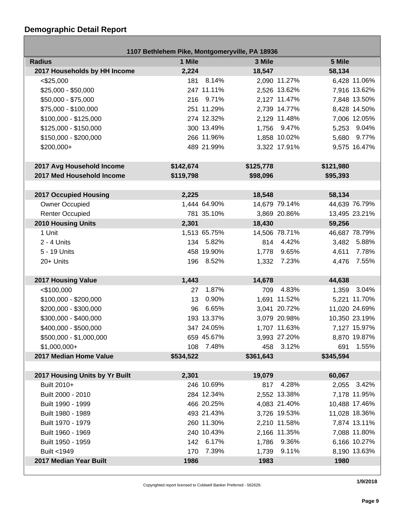Г

|                                | 1107 Bethlehem Pike, Montgomeryville, PA 18936 |              |           |               |           |               |
|--------------------------------|------------------------------------------------|--------------|-----------|---------------|-----------|---------------|
| <b>Radius</b>                  | 1 Mile                                         |              | 3 Mile    |               | 5 Mile    |               |
| 2017 Households by HH Income   | 2,224                                          |              | 18,547    |               | 58,134    |               |
| $<$ \$25,000                   |                                                | 181 8.14%    |           | 2,090 11.27%  |           | 6,428 11.06%  |
| $$25,000 - $50,000$            |                                                | 247 11.11%   |           | 2,526 13.62%  |           | 7,916 13.62%  |
| \$50,000 - \$75,000            |                                                | 216 9.71%    |           | 2,127 11.47%  |           | 7,848 13.50%  |
| \$75,000 - \$100,000           |                                                | 251 11.29%   |           | 2,739 14.77%  |           | 8,428 14.50%  |
| $$100,000 - $125,000$          |                                                | 274 12.32%   |           | 2,129 11.48%  |           | 7,006 12.05%  |
| \$125,000 - \$150,000          |                                                | 300 13.49%   |           | 1,756 9.47%   |           | 5,253 9.04%   |
| \$150,000 - \$200,000          |                                                | 266 11.96%   |           | 1,858 10.02%  |           | 5,680 9.77%   |
| \$200,000+                     |                                                | 489 21.99%   |           | 3,322 17.91%  |           | 9,575 16.47%  |
|                                |                                                |              |           |               |           |               |
| 2017 Avg Household Income      | \$142,674                                      |              | \$125,778 |               | \$121,980 |               |
| 2017 Med Household Income      | \$119,798                                      |              | \$98,096  |               | \$95,393  |               |
|                                |                                                |              |           |               |           |               |
| <b>2017 Occupied Housing</b>   | 2,225                                          |              | 18,548    |               | 58,134    |               |
| Owner Occupied                 |                                                | 1,444 64.90% |           | 14,679 79.14% |           | 44,639 76.79% |
| <b>Renter Occupied</b>         |                                                | 781 35.10%   |           | 3,869 20.86%  |           | 13,495 23.21% |
| <b>2010 Housing Units</b>      | 2,301                                          |              | 18,430    |               | 59,256    |               |
| 1 Unit                         |                                                | 1,513 65.75% |           | 14,506 78.71% |           | 46,687 78.79% |
| $2 - 4$ Units                  |                                                | 134 5.82%    |           | 814 4.42%     |           | 3,482 5.88%   |
| 5 - 19 Units                   |                                                | 458 19.90%   | 1,778     | 9.65%         | 4,611     | 7.78%         |
| 20+ Units                      |                                                | 196 8.52%    |           | 1,332 7.23%   | 4,476     | 7.55%         |
|                                |                                                |              |           |               |           |               |
| 2017 Housing Value             | 1,443                                          |              | 14,678    |               | 44,638    |               |
| $<$ \$100,000                  | 27                                             | 1.87%        | 709       | 4.83%         |           | 1,359 3.04%   |
| \$100,000 - \$200,000          | 13                                             | 0.90%        |           | 1,691 11.52%  |           | 5,221 11.70%  |
| \$200,000 - \$300,000          | 96                                             | 6.65%        |           | 3,041 20.72%  |           | 11,020 24.69% |
| \$300,000 - \$400,000          |                                                | 193 13.37%   |           | 3,079 20.98%  |           | 10,350 23.19% |
| \$400,000 - \$500,000          |                                                | 347 24.05%   |           | 1,707 11.63%  |           | 7,127 15.97%  |
| \$500,000 - \$1,000,000        |                                                | 659 45.67%   |           | 3,993 27.20%  |           | 8,870 19.87%  |
| $$1,000,000+$                  |                                                | 108 7.48%    |           | 458 3.12%     | 691       | 1.55%         |
| 2017 Median Home Value         | \$534,522                                      |              | \$361,643 |               | \$345,594 |               |
|                                |                                                |              |           |               |           |               |
| 2017 Housing Units by Yr Built | 2,301                                          |              | 19,079    |               | 60,067    |               |
| Built 2010+                    |                                                | 246 10.69%   |           | 817 4.28%     |           | 2,055 3.42%   |
| Built 2000 - 2010              |                                                | 284 12.34%   |           | 2,552 13.38%  |           | 7,178 11.95%  |
| Built 1990 - 1999              |                                                | 466 20.25%   |           | 4,083 21.40%  |           | 10,488 17.46% |
| Built 1980 - 1989              |                                                | 493 21.43%   |           | 3,726 19.53%  |           | 11,028 18.36% |
| Built 1970 - 1979              |                                                | 260 11.30%   |           | 2,210 11.58%  |           | 7,874 13.11%  |
| Built 1960 - 1969              |                                                | 240 10.43%   |           | 2,166 11.35%  |           | 7,088 11.80%  |
| Built 1950 - 1959              |                                                | 142 6.17%    |           | 1,786 9.36%   |           | 6,166 10.27%  |
| Built <1949                    | 170                                            | 7.39%        | 1,739     | 9.11%         |           | 8,190 13.63%  |
| 2017 Median Year Built         | 1986                                           |              | 1983      |               | 1980      |               |

Copyrighted report licensed to Coldwell Banker Preferred - 562629.

**1/9/2018**

- 1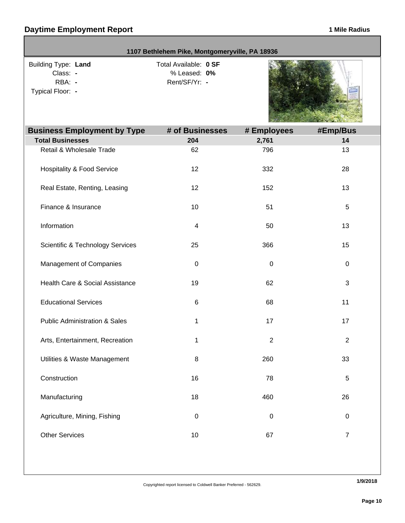|                                                               | 1107 Bethlehem Pike, Montgomeryville, PA 18936         |                |                |
|---------------------------------------------------------------|--------------------------------------------------------|----------------|----------------|
| Building Type: Land<br>Class: -<br>RBA: -<br>Typical Floor: - | Total Available: 0 SF<br>% Leased: 0%<br>Rent/SF/Yr: - |                |                |
| <b>Business Employment by Type</b>                            | # of Businesses                                        | # Employees    | #Emp/Bus       |
| <b>Total Businesses</b>                                       | 204                                                    | 2,761          | 14             |
| Retail & Wholesale Trade                                      | 62<br>12                                               | 796<br>332     | 13<br>28       |
| <b>Hospitality &amp; Food Service</b>                         |                                                        |                |                |
| Real Estate, Renting, Leasing                                 | 12                                                     | 152            | 13             |
| Finance & Insurance                                           | 10                                                     | 51             | 5              |
| Information                                                   | $\overline{\mathcal{A}}$                               | 50             | 13             |
| <b>Scientific &amp; Technology Services</b>                   | 25                                                     | 366            | 15             |
| Management of Companies                                       | $\mathbf 0$                                            | $\pmb{0}$      | 0              |
| Health Care & Social Assistance                               | 19                                                     | 62             | 3              |
| <b>Educational Services</b>                                   | 6                                                      | 68             | 11             |
| <b>Public Administration &amp; Sales</b>                      | 1                                                      | 17             | 17             |
| Arts, Entertainment, Recreation                               | 1                                                      | $\overline{c}$ | 2              |
| Utilities & Waste Management                                  | 8                                                      | 260            | 33             |
| Construction                                                  | 16                                                     | 78             | $\mathbf 5$    |
| Manufacturing                                                 | 18                                                     | 460            | 26             |
| Agriculture, Mining, Fishing                                  | $\boldsymbol{0}$                                       | $\pmb{0}$      | $\pmb{0}$      |
| <b>Other Services</b>                                         | $10$                                                   | 67             | $\overline{7}$ |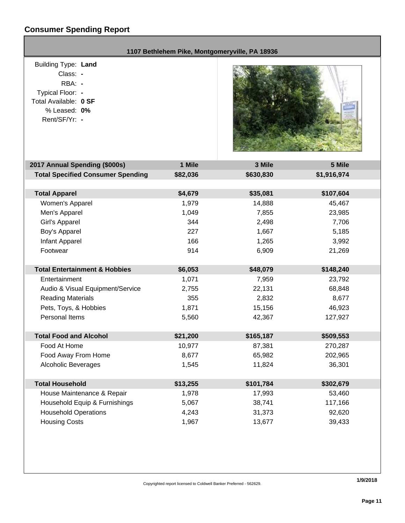## **Consumer Spending Report**

| 1107 Bethlehem Pike, Montgomeryville, PA 18936                                                                                 |                  |                    |                     |  |
|--------------------------------------------------------------------------------------------------------------------------------|------------------|--------------------|---------------------|--|
| <b>Building Type: Land</b><br>Class: -<br>RBA: -<br>Typical Floor: -<br>Total Available: 0 SF<br>% Leased: 0%<br>Rent/SF/Yr: - |                  |                    |                     |  |
| 2017 Annual Spending (\$000s)                                                                                                  | 1 Mile           | 3 Mile             | 5 Mile              |  |
| <b>Total Specified Consumer Spending</b>                                                                                       | \$82,036         | \$630,830          | \$1,916,974         |  |
|                                                                                                                                |                  |                    |                     |  |
| <b>Total Apparel</b><br>Women's Apparel                                                                                        | \$4,679<br>1,979 | \$35,081<br>14,888 | \$107,604<br>45,467 |  |
| Men's Apparel                                                                                                                  | 1,049            | 7,855              | 23,985              |  |
| Girl's Apparel                                                                                                                 | 344              | 2,498              | 7,706               |  |
| Boy's Apparel                                                                                                                  | 227              | 1,667              | 5,185               |  |
| <b>Infant Apparel</b>                                                                                                          | 166              | 1,265              | 3,992               |  |
| Footwear                                                                                                                       | 914              | 6,909              | 21,269              |  |
|                                                                                                                                |                  |                    |                     |  |
| <b>Total Entertainment &amp; Hobbies</b>                                                                                       | \$6,053          | \$48,079           | \$148,240           |  |
| Entertainment                                                                                                                  | 1,071            | 7,959              | 23,792              |  |
| Audio & Visual Equipment/Service                                                                                               | 2,755            | 22,131             | 68,848              |  |
| <b>Reading Materials</b>                                                                                                       | 355              | 2,832              | 8,677               |  |
| Pets, Toys, & Hobbies                                                                                                          | 1,871            | 15,156             | 46,923              |  |
| <b>Personal Items</b>                                                                                                          | 5,560            | 42,367             | 127,927             |  |
|                                                                                                                                |                  |                    |                     |  |
| <b>Total Food and Alcohol</b>                                                                                                  | \$21,200         | \$165,187          | \$509,553           |  |
| Food At Home                                                                                                                   | 10,977           | 87,381             | 270,287             |  |
| Food Away From Home                                                                                                            | 8,677            | 65,982             | 202,965             |  |
| <b>Alcoholic Beverages</b>                                                                                                     | 1,545            | 11,824             | 36,301              |  |
| <b>Total Household</b>                                                                                                         | \$13,255         | \$101,784          | \$302,679           |  |
| House Maintenance & Repair                                                                                                     | 1,978            | 17,993             | 53,460              |  |
| Household Equip & Furnishings                                                                                                  | 5,067            | 38,741             | 117,166             |  |
| <b>Household Operations</b>                                                                                                    | 4,243            | 31,373             | 92,620              |  |
| <b>Housing Costs</b>                                                                                                           | 1,967            | 13,677             | 39,433              |  |
|                                                                                                                                |                  |                    |                     |  |